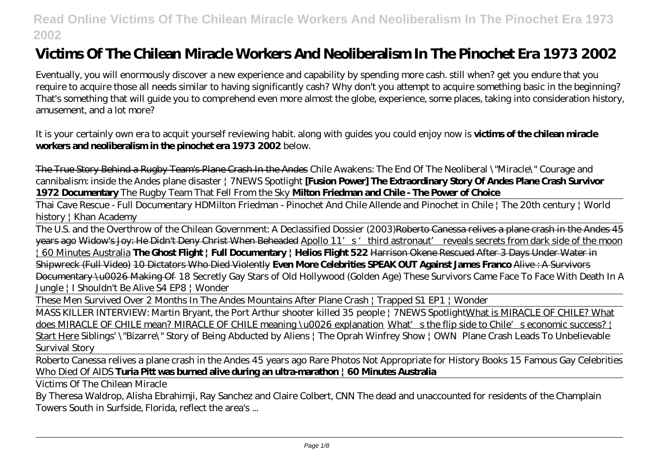# **Victims Of The Chilean Miracle Workers And Neoliberalism In The Pinochet Era 1973 2002**

Eventually, you will enormously discover a new experience and capability by spending more cash. still when? get you endure that you require to acquire those all needs similar to having significantly cash? Why don't you attempt to acquire something basic in the beginning? That's something that will guide you to comprehend even more almost the globe, experience, some places, taking into consideration history, amusement, and a lot more?

It is your certainly own era to acquit yourself reviewing habit. along with guides you could enjoy now is **victims of the chilean miracle workers and neoliberalism in the pinochet era 1973 2002** below.

The True Story Behind a Rugby Team's Plane Crash In the Andes Chile Awakens: The End Of The Neoliberal \"Miracle\" Courage and cannibalism: inside the Andes plane disaster | 7NEWS Spotlight **[Fusion Power] The Extraordinary Story Of Andes Plane Crash Survivor 1972 Documentary** The Rugby Team That Fell From the Sky **Milton Friedman and Chile - The Power of Choice**

Thai Cave Rescue - Full Documentary HD*Milton Friedman - Pinochet And Chile Allende and Pinochet in Chile | The 20th century | World history | Khan Academy*

The U.S. and the Overthrow of the Chilean Government: A Declassified Dossier (2003)Roberto Canessa relives a plane crash in the Andes 45 years ago Widow's Joy: He Didn't Deny Christ When Beheaded Apollo 11's 'third astronaut' reveals secrets from dark side of the moon | 60 Minutes Australia **The Ghost Flight | Full Documentary | Helios Flight 522** Harrison Okene Rescued After 3 Days Under Water in Shipwreck (Full Video) 10 Dictators Who Died Violently **Even More Celebrities SPEAK OUT Against James Franco** Alive : A Survivors Documentary \u0026 Making Of 18 Secretly Gay Stars of Old Hollywood (Golden Age) These Survivors Came Face To Face With Death In A Jungle | I Shouldn't Be Alive S4 EP8 | Wonder

These Men Survived Over 2 Months In The Andes Mountains After Plane Crash | Trapped S1 EP1 | Wonder

MASS KILLER INTERVIEW: Martin Bryant, the Port Arthur shooter killed 35 people | 7NEWS SpotlightWhat is MIRACLE OF CHILE? What does MIRACLE OF CHILE mean? MIRACLE OF CHILE meaning \u0026 explanation What's the flip side to Chile's economic success? | Start Here *Siblings' \"Bizarre\" Story of Being Abducted by Aliens | The Oprah Winfrey Show | OWN Plane Crash Leads To Unbelievable Survival Story*

Roberto Canessa relives a plane crash in the Andes 45 years ago Rare Photos Not Appropriate for History Books 15 Famous Gay Celebrities Who Died Of AIDS **Turia Pitt was burned alive during an ultra-marathon | 60 Minutes Australia**

Victims Of The Chilean Miracle

By Theresa Waldrop, Alisha Ebrahimji, Ray Sanchez and Claire Colbert, CNN The dead and unaccounted for residents of the Champlain Towers South in Surfside, Florida, reflect the area's ...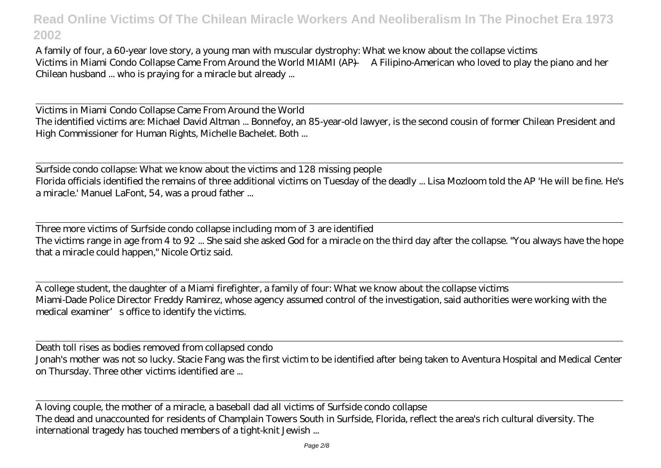A family of four, a 60-year love story, a young man with muscular dystrophy: What we know about the collapse victims Victims in Miami Condo Collapse Came From Around the World MIAMI (AP) — A Filipino-American who loved to play the piano and her Chilean husband ... who is praying for a miracle but already ...

Victims in Miami Condo Collapse Came From Around the World The identified victims are: Michael David Altman ... Bonnefoy, an 85-year-old lawyer, is the second cousin of former Chilean President and High Commissioner for Human Rights, Michelle Bachelet. Both ...

Surfside condo collapse: What we know about the victims and 128 missing people Florida officials identified the remains of three additional victims on Tuesday of the deadly ... Lisa Mozloom told the AP 'He will be fine. He's a miracle.' Manuel LaFont, 54, was a proud father ...

Three more victims of Surfside condo collapse including mom of 3 are identified The victims range in age from 4 to 92 ... She said she asked God for a miracle on the third day after the collapse. "You always have the hope that a miracle could happen," Nicole Ortiz said.

A college student, the daughter of a Miami firefighter, a family of four: What we know about the collapse victims Miami-Dade Police Director Freddy Ramirez, whose agency assumed control of the investigation, said authorities were working with the medical examiner' s office to identify the victims.

Death toll rises as bodies removed from collapsed condo Jonah's mother was not so lucky. Stacie Fang was the first victim to be identified after being taken to Aventura Hospital and Medical Center on Thursday. Three other victims identified are ...

A loving couple, the mother of a miracle, a baseball dad all victims of Surfside condo collapse The dead and unaccounted for residents of Champlain Towers South in Surfside, Florida, reflect the area's rich cultural diversity. The international tragedy has touched members of a tight-knit Jewish ...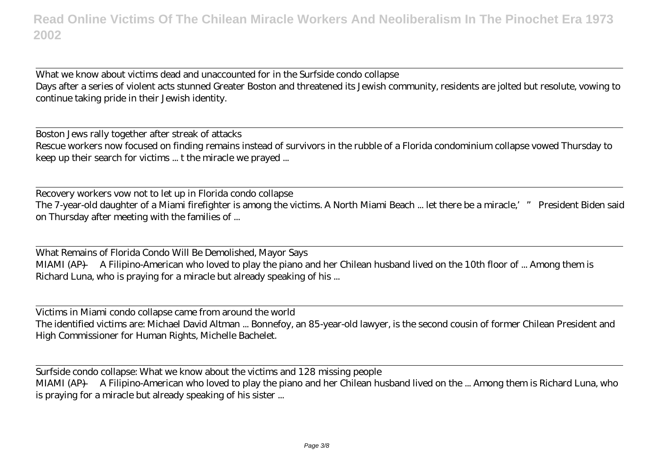What we know about victims dead and unaccounted for in the Surfside condo collapse Days after a series of violent acts stunned Greater Boston and threatened its Jewish community, residents are jolted but resolute, vowing to continue taking pride in their Jewish identity.

Boston Jews rally together after streak of attacks Rescue workers now focused on finding remains instead of survivors in the rubble of a Florida condominium collapse vowed Thursday to keep up their search for victims ... t the miracle we prayed ...

Recovery workers vow not to let up in Florida condo collapse The 7-year-old daughter of a Miami firefighter is among the victims. A North Miami Beach ... let there be a miracle,'" President Biden said on Thursday after meeting with the families of ...

What Remains of Florida Condo Will Be Demolished, Mayor Says MIAMI (AP) — A Filipino-American who loved to play the piano and her Chilean husband lived on the 10th floor of ... Among them is Richard Luna, who is praying for a miracle but already speaking of his ...

Victims in Miami condo collapse came from around the world The identified victims are: Michael David Altman ... Bonnefoy, an 85-year-old lawyer, is the second cousin of former Chilean President and High Commissioner for Human Rights, Michelle Bachelet.

Surfside condo collapse: What we know about the victims and 128 missing people MIAMI (AP) — A Filipino-American who loved to play the piano and her Chilean husband lived on the ... Among them is Richard Luna, who is praying for a miracle but already speaking of his sister ...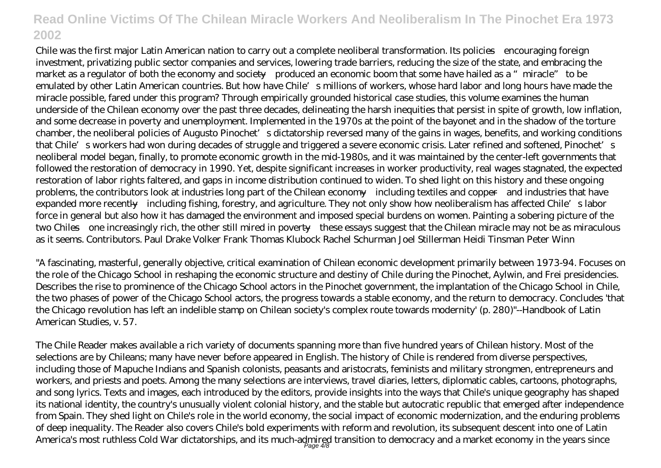Chile was the first major Latin American nation to carry out a complete neoliberal transformation. Its policies—encouraging foreign investment, privatizing public sector companies and services, lowering trade barriers, reducing the size of the state, and embracing the market as a regulator of both the economy and society—produced an economic boom that some have hailed as a "miracle" to be emulated by other Latin American countries. But how have Chile's millions of workers, whose hard labor and long hours have made the miracle possible, fared under this program? Through empirically grounded historical case studies, this volume examines the human underside of the Chilean economy over the past three decades, delineating the harsh inequities that persist in spite of growth, low inflation, and some decrease in poverty and unemployment. Implemented in the 1970s at the point of the bayonet and in the shadow of the torture chamber, the neoliberal policies of Augusto Pinochet's dictatorship reversed many of the gains in wages, benefits, and working conditions that Chile's workers had won during decades of struggle and triggered a severe economic crisis. Later refined and softened, Pinochet's neoliberal model began, finally, to promote economic growth in the mid-1980s, and it was maintained by the center-left governments that followed the restoration of democracy in 1990. Yet, despite significant increases in worker productivity, real wages stagnated, the expected restoration of labor rights faltered, and gaps in income distribution continued to widen. To shed light on this history and these ongoing problems, the contributors look at industries long part of the Chilean economy—including textiles and copper—and industries that have expanded more recently—including fishing, forestry, and agriculture. They not only show how neoliberalism has affected Chile's labor force in general but also how it has damaged the environment and imposed special burdens on women. Painting a sobering picture of the two Chiles—one increasingly rich, the other still mired in poverty—these essays suggest that the Chilean miracle may not be as miraculous as it seems. Contributors. Paul Drake Volker Frank Thomas Klubock Rachel Schurman Joel Stillerman Heidi Tinsman Peter Winn

"A fascinating, masterful, generally objective, critical examination of Chilean economic development primarily between 1973-94. Focuses on the role of the Chicago School in reshaping the economic structure and destiny of Chile during the Pinochet, Aylwin, and Frei presidencies. Describes the rise to prominence of the Chicago School actors in the Pinochet government, the implantation of the Chicago School in Chile, the two phases of power of the Chicago School actors, the progress towards a stable economy, and the return to democracy. Concludes 'that the Chicago revolution has left an indelible stamp on Chilean society's complex route towards modernity' (p. 280)"--Handbook of Latin American Studies, v. 57.

The Chile Reader makes available a rich variety of documents spanning more than five hundred years of Chilean history. Most of the selections are by Chileans; many have never before appeared in English. The history of Chile is rendered from diverse perspectives, including those of Mapuche Indians and Spanish colonists, peasants and aristocrats, feminists and military strongmen, entrepreneurs and workers, and priests and poets. Among the many selections are interviews, travel diaries, letters, diplomatic cables, cartoons, photographs, and song lyrics. Texts and images, each introduced by the editors, provide insights into the ways that Chile's unique geography has shaped its national identity, the country's unusually violent colonial history, and the stable but autocratic republic that emerged after independence from Spain. They shed light on Chile's role in the world economy, the social impact of economic modernization, and the enduring problems of deep inequality. The Reader also covers Chile's bold experiments with reform and revolution, its subsequent descent into one of Latin America's most ruthless Cold War dictatorships, and its much-admired transition to democracy and a market economy in the years since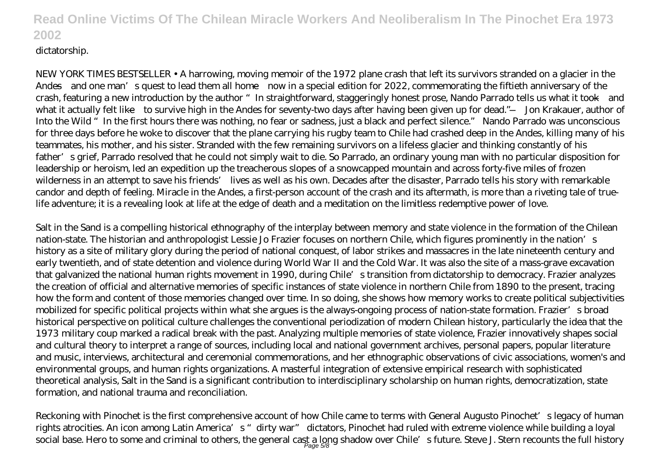#### dictatorship.

NEW YORK TIMES BESTSELLER • A harrowing, moving memoir of the 1972 plane crash that left its survivors stranded on a glacier in the Andes—and one man's quest to lead them all home—now in a special edition for 2022, commemorating the fiftieth anniversary of the crash, featuring a new introduction by the author "In straightforward, staggeringly honest prose, Nando Parrado tells us what it took—and what it actually felt like—to survive high in the Andes for seventy-two days after having been given up for dead."—Jon Krakauer, author of Into the Wild "In the first hours there was nothing, no fear or sadness, just a black and perfect silence." Nando Parrado was unconscious for three days before he woke to discover that the plane carrying his rugby team to Chile had crashed deep in the Andes, killing many of his teammates, his mother, and his sister. Stranded with the few remaining survivors on a lifeless glacier and thinking constantly of his father's grief, Parrado resolved that he could not simply wait to die. So Parrado, an ordinary young man with no particular disposition for leadership or heroism, led an expedition up the treacherous slopes of a snowcapped mountain and across forty-five miles of frozen wilderness in an attempt to save his friends' lives as well as his own. Decades after the disaster, Parrado tells his story with remarkable candor and depth of feeling. Miracle in the Andes, a first-person account of the crash and its aftermath, is more than a riveting tale of truelife adventure; it is a revealing look at life at the edge of death and a meditation on the limitless redemptive power of love.

Salt in the Sand is a compelling historical ethnography of the interplay between memory and state violence in the formation of the Chilean nation-state. The historian and anthropologist Lessie Jo Frazier focuses on northern Chile, which figures prominently in the nation's history as a site of military glory during the period of national conquest, of labor strikes and massacres in the late nineteenth century and early twentieth, and of state detention and violence during World War II and the Cold War. It was also the site of a mass-grave excavation that galvanized the national human rights movement in 1990, during Chile's transition from dictatorship to democracy. Frazier analyzes the creation of official and alternative memories of specific instances of state violence in northern Chile from 1890 to the present, tracing how the form and content of those memories changed over time. In so doing, she shows how memory works to create political subjectivities mobilized for specific political projects within what she argues is the always-ongoing process of nation-state formation. Frazier's broad historical perspective on political culture challenges the conventional periodization of modern Chilean history, particularly the idea that the 1973 military coup marked a radical break with the past. Analyzing multiple memories of state violence, Frazier innovatively shapes social and cultural theory to interpret a range of sources, including local and national government archives, personal papers, popular literature and music, interviews, architectural and ceremonial commemorations, and her ethnographic observations of civic associations, women's and environmental groups, and human rights organizations. A masterful integration of extensive empirical research with sophisticated theoretical analysis, Salt in the Sand is a significant contribution to interdisciplinary scholarship on human rights, democratization, state formation, and national trauma and reconciliation.

Reckoning with Pinochet is the first comprehensive account of how Chile came to terms with General Augusto Pinochet's legacy of human rights atrocities. An icon among Latin America's "dirty war" dictators, Pinochet had ruled with extreme violence while building a loyal social base. Hero to some and criminal to others, the general cast a long shadow over Chile's future. Steve J. Stern recounts the full history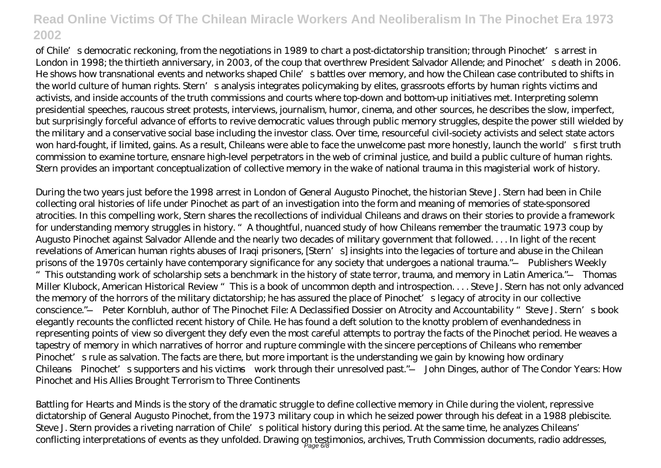of Chile's democratic reckoning, from the negotiations in 1989 to chart a post-dictatorship transition; through Pinochet's arrest in London in 1998; the thirtieth anniversary, in 2003, of the coup that overthrew President Salvador Allende; and Pinochet's death in 2006. He shows how transnational events and networks shaped Chile's battles over memory, and how the Chilean case contributed to shifts in the world culture of human rights. Stern's analysis integrates policymaking by elites, grassroots efforts by human rights victims and activists, and inside accounts of the truth commissions and courts where top-down and bottom-up initiatives met. Interpreting solemn presidential speeches, raucous street protests, interviews, journalism, humor, cinema, and other sources, he describes the slow, imperfect, but surprisingly forceful advance of efforts to revive democratic values through public memory struggles, despite the power still wielded by the military and a conservative social base including the investor class. Over time, resourceful civil-society activists and select state actors won hard-fought, if limited, gains. As a result, Chileans were able to face the unwelcome past more honestly, launch the world's first truth commission to examine torture, ensnare high-level perpetrators in the web of criminal justice, and build a public culture of human rights. Stern provides an important conceptualization of collective memory in the wake of national trauma in this magisterial work of history.

During the two years just before the 1998 arrest in London of General Augusto Pinochet, the historian Steve J. Stern had been in Chile collecting oral histories of life under Pinochet as part of an investigation into the form and meaning of memories of state-sponsored atrocities. In this compelling work, Stern shares the recollections of individual Chileans and draws on their stories to provide a framework for understanding memory struggles in history. "A thoughtful, nuanced study of how Chileans remember the traumatic 1973 coup by Augusto Pinochet against Salvador Allende and the nearly two decades of military government that followed. . . . In light of the recent revelations of American human rights abuses of Iraqi prisoners, [Stern's] insights into the legacies of torture and abuse in the Chilean prisons of the 1970s certainly have contemporary significance for any society that undergoes a national trauma."—Publishers Weekly "This outstanding work of scholarship sets a benchmark in the history of state terror, trauma, and memory in Latin America."—Thomas Miller Klubock, American Historical Review "This is a book of uncommon depth and introspection. . . . Steve J. Stern has not only advanced the memory of the horrors of the military dictatorship; he has assured the place of Pinochet's legacy of atrocity in our collective conscience."—Peter Kornbluh, author of The Pinochet File: A Declassified Dossier on Atrocity and Accountability "Steve J. Stern's book elegantly recounts the conflicted recent history of Chile. He has found a deft solution to the knotty problem of evenhandedness in representing points of view so divergent they defy even the most careful attempts to portray the facts of the Pinochet period. He weaves a tapestry of memory in which narratives of horror and rupture commingle with the sincere perceptions of Chileans who remember Pinochet's rule as salvation. The facts are there, but more important is the understanding we gain by knowing how ordinary Chileans—Pinochet's supporters and his victims—work through their unresolved past."—John Dinges, author of The Condor Years: How Pinochet and His Allies Brought Terrorism to Three Continents

Battling for Hearts and Minds is the story of the dramatic struggle to define collective memory in Chile during the violent, repressive dictatorship of General Augusto Pinochet, from the 1973 military coup in which he seized power through his defeat in a 1988 plebiscite. Steve J. Stern provides a riveting narration of Chile's political history during this period. At the same time, he analyzes Chileans' conflicting interpretations of events as they unfolded. Drawing on testimonios, archives, Truth Commission documents, radio addresses,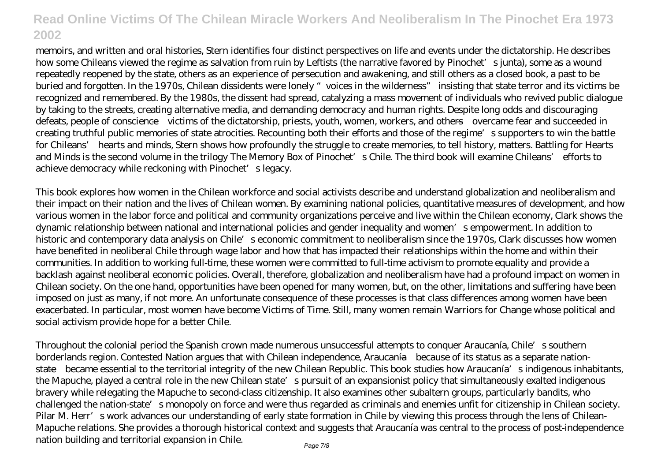memoirs, and written and oral histories, Stern identifies four distinct perspectives on life and events under the dictatorship. He describes how some Chileans viewed the regime as salvation from ruin by Leftists (the narrative favored by Pinochet's junta), some as a wound repeatedly reopened by the state, others as an experience of persecution and awakening, and still others as a closed book, a past to be buried and forgotten. In the 1970s, Chilean dissidents were lonely "voices in the wilderness" insisting that state terror and its victims be recognized and remembered. By the 1980s, the dissent had spread, catalyzing a mass movement of individuals who revived public dialogue by taking to the streets, creating alternative media, and demanding democracy and human rights. Despite long odds and discouraging defeats, people of conscience—victims of the dictatorship, priests, youth, women, workers, and others—overcame fear and succeeded in creating truthful public memories of state atrocities. Recounting both their efforts and those of the regime's supporters to win the battle for Chileans' hearts and minds, Stern shows how profoundly the struggle to create memories, to tell history, matters. Battling for Hearts and Minds is the second volume in the trilogy The Memory Box of Pinochet's Chile. The third book will examine Chileans' efforts to achieve democracy while reckoning with Pinochet's legacy.

This book explores how women in the Chilean workforce and social activists describe and understand globalization and neoliberalism and their impact on their nation and the lives of Chilean women. By examining national policies, quantitative measures of development, and how various women in the labor force and political and community organizations perceive and live within the Chilean economy, Clark shows the dynamic relationship between national and international policies and gender inequality and women's empowerment. In addition to historic and contemporary data analysis on Chile's economic commitment to neoliberalism since the 1970s, Clark discusses how women have benefited in neoliberal Chile through wage labor and how that has impacted their relationships within the home and within their communities. In addition to working full-time, these women were committed to full-time activism to promote equality and provide a backlash against neoliberal economic policies. Overall, therefore, globalization and neoliberalism have had a profound impact on women in Chilean society. On the one hand, opportunities have been opened for many women, but, on the other, limitations and suffering have been imposed on just as many, if not more. An unfortunate consequence of these processes is that class differences among women have been exacerbated. In particular, most women have become Victims of Time. Still, many women remain Warriors for Change whose political and social activism provide hope for a better Chile.

Throughout the colonial period the Spanish crown made numerous unsuccessful attempts to conquer Araucanía, Chile's southern borderlands region. Contested Nation argues that with Chilean independence, Araucanía—because of its status as a separate nationstate—became essential to the territorial integrity of the new Chilean Republic. This book studies how Araucanía's indigenous inhabitants, the Mapuche, played a central role in the new Chilean state's pursuit of an expansionist policy that simultaneously exalted indigenous bravery while relegating the Mapuche to second-class citizenship. It also examines other subaltern groups, particularly bandits, who challenged the nation-state's monopoly on force and were thus regarded as criminals and enemies unfit for citizenship in Chilean society. Pilar M. Herr's work advances our understanding of early state formation in Chile by viewing this process through the lens of Chilean-Mapuche relations. She provides a thorough historical context and suggests that Araucanía was central to the process of post-independence nation building and territorial expansion in Chile.